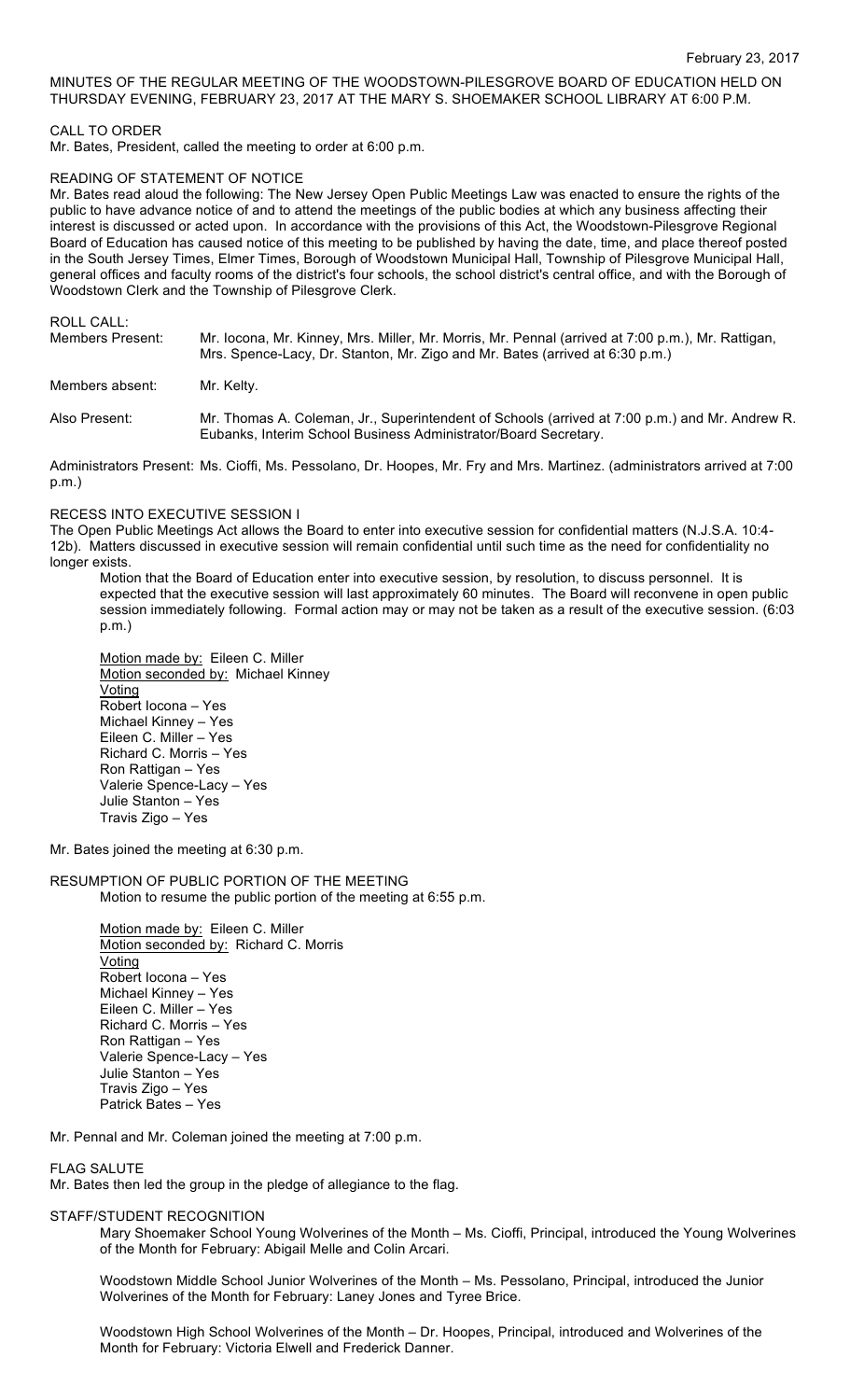# MINUTES OF THE REGULAR MEETING OF THE WOODSTOWN-PILESGROVE BOARD OF EDUCATION HELD ON THURSDAY EVENING, FEBRUARY 23, 2017 AT THE MARY S. SHOEMAKER SCHOOL LIBRARY AT 6:00 P.M.

### CALL TO ORDER

Mr. Bates, President, called the meeting to order at 6:00 p.m.

### READING OF STATEMENT OF NOTICE

Mr. Bates read aloud the following: The New Jersey Open Public Meetings Law was enacted to ensure the rights of the public to have advance notice of and to attend the meetings of the public bodies at which any business affecting their interest is discussed or acted upon. In accordance with the provisions of this Act, the Woodstown-Pilesgrove Regional Board of Education has caused notice of this meeting to be published by having the date, time, and place thereof posted in the South Jersey Times, Elmer Times, Borough of Woodstown Municipal Hall, Township of Pilesgrove Municipal Hall, general offices and faculty rooms of the district's four schools, the school district's central office, and with the Borough of Woodstown Clerk and the Township of Pilesgrove Clerk.

ROLL CALL:

| Members Present: | Mr. locona, Mr. Kinney, Mrs. Miller, Mr. Morris, Mr. Pennal (arrived at 7:00 p.m.), Mr. Rattigan,<br>Mrs. Spence-Lacy, Dr. Stanton, Mr. Zigo and Mr. Bates (arrived at 6:30 p.m.) |
|------------------|-----------------------------------------------------------------------------------------------------------------------------------------------------------------------------------|
| Members absent:  | Mr. Keltv.                                                                                                                                                                        |

Also Present: Mr. Thomas A. Coleman, Jr., Superintendent of Schools (arrived at 7:00 p.m.) and Mr. Andrew R. Eubanks, Interim School Business Administrator/Board Secretary.

Administrators Present: Ms. Cioffi, Ms. Pessolano, Dr. Hoopes, Mr. Fry and Mrs. Martinez. (administrators arrived at 7:00 p.m.)

### RECESS INTO EXECUTIVE SESSION I

The Open Public Meetings Act allows the Board to enter into executive session for confidential matters (N.J.S.A. 10:4- 12b). Matters discussed in executive session will remain confidential until such time as the need for confidentiality no longer exists.

Motion that the Board of Education enter into executive session, by resolution, to discuss personnel. It is expected that the executive session will last approximately 60 minutes. The Board will reconvene in open public session immediately following. Formal action may or may not be taken as a result of the executive session. (6:03 p.m.)

Motion made by: Eileen C. Miller Motion seconded by: Michael Kinney Voting Robert Iocona – Yes Michael Kinney – Yes Eileen C. Miller – Yes Richard C. Morris – Yes Ron Rattigan – Yes Valerie Spence-Lacy – Yes Julie Stanton – Yes Travis Zigo – Yes

Mr. Bates joined the meeting at 6:30 p.m.

RESUMPTION OF PUBLIC PORTION OF THE MEETING Motion to resume the public portion of the meeting at 6:55 p.m.

> Motion made by: Eileen C. Miller Motion seconded by: Richard C. Morris Voting Robert Iocona – Yes Michael Kinney – Yes Eileen C. Miller – Yes Richard C. Morris – Yes Ron Rattigan – Yes Valerie Spence-Lacy – Yes Julie Stanton – Yes Travis Zigo – Yes Patrick Bates – Yes

Mr. Pennal and Mr. Coleman joined the meeting at 7:00 p.m.

### FLAG SALUTE

Mr. Bates then led the group in the pledge of allegiance to the flag.

### STAFF/STUDENT RECOGNITION

Mary Shoemaker School Young Wolverines of the Month – Ms. Cioffi, Principal, introduced the Young Wolverines of the Month for February: Abigail Melle and Colin Arcari.

Woodstown Middle School Junior Wolverines of the Month – Ms. Pessolano, Principal, introduced the Junior Wolverines of the Month for February: Laney Jones and Tyree Brice.

Woodstown High School Wolverines of the Month – Dr. Hoopes, Principal, introduced and Wolverines of the Month for February: Victoria Elwell and Frederick Danner.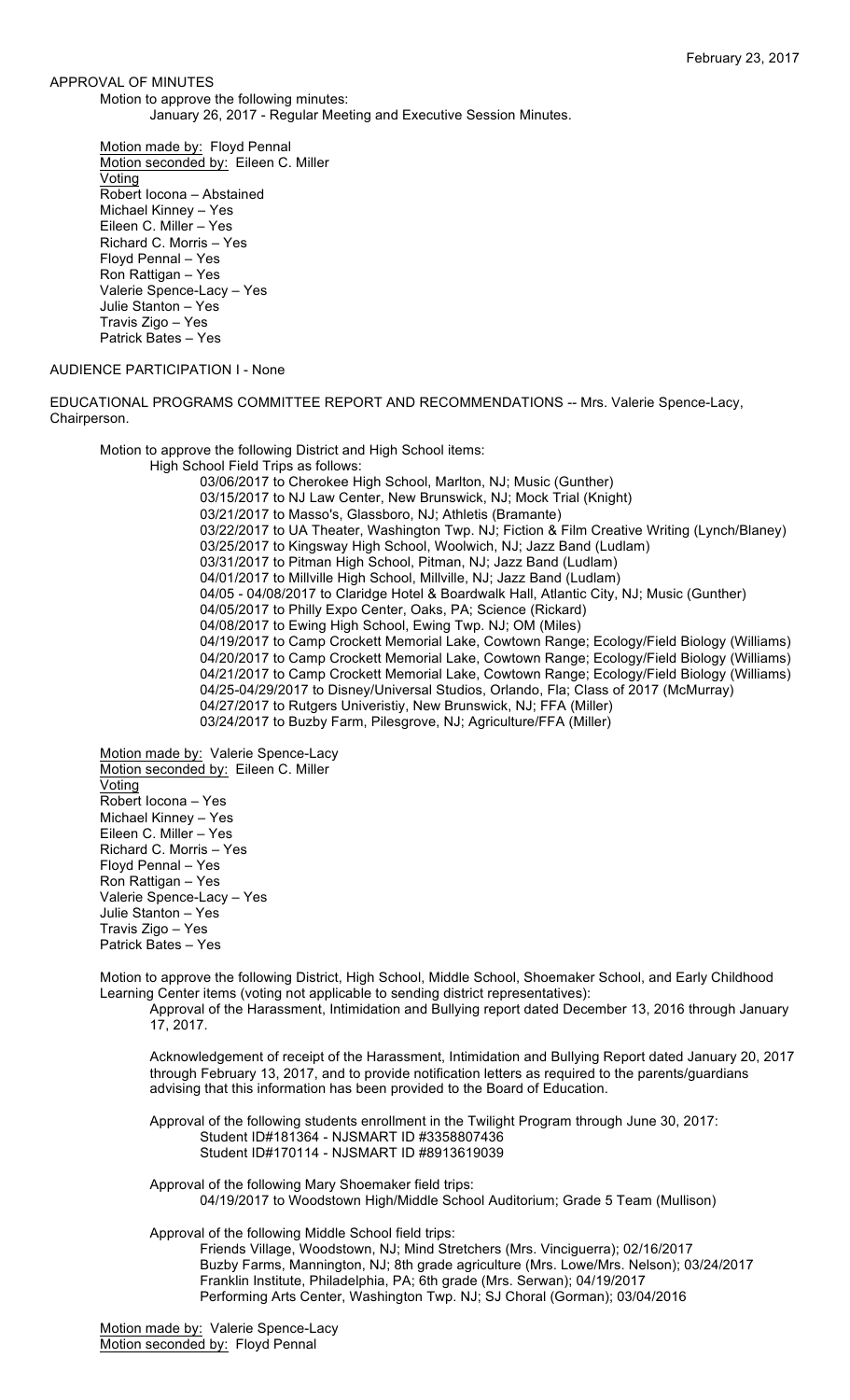#### APPROVAL OF MINUTES

Motion to approve the following minutes: January 26, 2017 - Regular Meeting and Executive Session Minutes.

Motion made by: Floyd Pennal Motion seconded by: Eileen C. Miller Voting Robert Iocona – Abstained Michael Kinney – Yes Eileen C. Miller – Yes Richard C. Morris – Yes Floyd Pennal – Yes Ron Rattigan – Yes Valerie Spence-Lacy – Yes Julie Stanton – Yes Travis Zigo – Yes Patrick Bates – Yes

# AUDIENCE PARTICIPATION I - None

EDUCATIONAL PROGRAMS COMMITTEE REPORT AND RECOMMENDATIONS -- Mrs. Valerie Spence-Lacy, Chairperson.

Motion to approve the following District and High School items: High School Field Trips as follows: 03/06/2017 to Cherokee High School, Marlton, NJ; Music (Gunther) 03/15/2017 to NJ Law Center, New Brunswick, NJ; Mock Trial (Knight) 03/21/2017 to Masso's, Glassboro, NJ; Athletis (Bramante) 03/22/2017 to UA Theater, Washington Twp. NJ; Fiction & Film Creative Writing (Lynch/Blaney) 03/25/2017 to Kingsway High School, Woolwich, NJ; Jazz Band (Ludlam) 03/31/2017 to Pitman High School, Pitman, NJ; Jazz Band (Ludlam) 04/01/2017 to Millville High School, Millville, NJ; Jazz Band (Ludlam) 04/05 - 04/08/2017 to Claridge Hotel & Boardwalk Hall, Atlantic City, NJ; Music (Gunther) 04/05/2017 to Philly Expo Center, Oaks, PA; Science (Rickard) 04/08/2017 to Ewing High School, Ewing Twp. NJ; OM (Miles) 04/19/2017 to Camp Crockett Memorial Lake, Cowtown Range; Ecology/Field Biology (Williams) 04/20/2017 to Camp Crockett Memorial Lake, Cowtown Range; Ecology/Field Biology (Williams) 04/21/2017 to Camp Crockett Memorial Lake, Cowtown Range; Ecology/Field Biology (Williams) 04/25-04/29/2017 to Disney/Universal Studios, Orlando, Fla; Class of 2017 (McMurray) 04/27/2017 to Rutgers Univeristiy, New Brunswick, NJ; FFA (Miller) 03/24/2017 to Buzby Farm, Pilesgrove, NJ; Agriculture/FFA (Miller)

Motion made by: Valerie Spence-Lacy Motion seconded by: Eileen C. Miller Voting Robert Iocona – Yes Michael Kinney – Yes Eileen C. Miller – Yes Richard C. Morris – Yes Floyd Pennal – Yes Ron Rattigan – Yes Valerie Spence-Lacy – Yes Julie Stanton – Yes Travis Zigo – Yes Patrick Bates – Yes

Motion to approve the following District, High School, Middle School, Shoemaker School, and Early Childhood Learning Center items (voting not applicable to sending district representatives):

Approval of the Harassment, Intimidation and Bullying report dated December 13, 2016 through January 17, 2017.

Acknowledgement of receipt of the Harassment, Intimidation and Bullying Report dated January 20, 2017 through February 13, 2017, and to provide notification letters as required to the parents/guardians advising that this information has been provided to the Board of Education.

Approval of the following students enrollment in the Twilight Program through June 30, 2017: Student ID#181364 - NJSMART ID #3358807436 Student ID#170114 - NJSMART ID #8913619039

Approval of the following Mary Shoemaker field trips: 04/19/2017 to Woodstown High/Middle School Auditorium; Grade 5 Team (Mullison)

Approval of the following Middle School field trips:

Friends Village, Woodstown, NJ; Mind Stretchers (Mrs. Vinciguerra); 02/16/2017 Buzby Farms, Mannington, NJ; 8th grade agriculture (Mrs. Lowe/Mrs. Nelson); 03/24/2017 Franklin Institute, Philadelphia, PA; 6th grade (Mrs. Serwan); 04/19/2017 Performing Arts Center, Washington Twp. NJ; SJ Choral (Gorman); 03/04/2016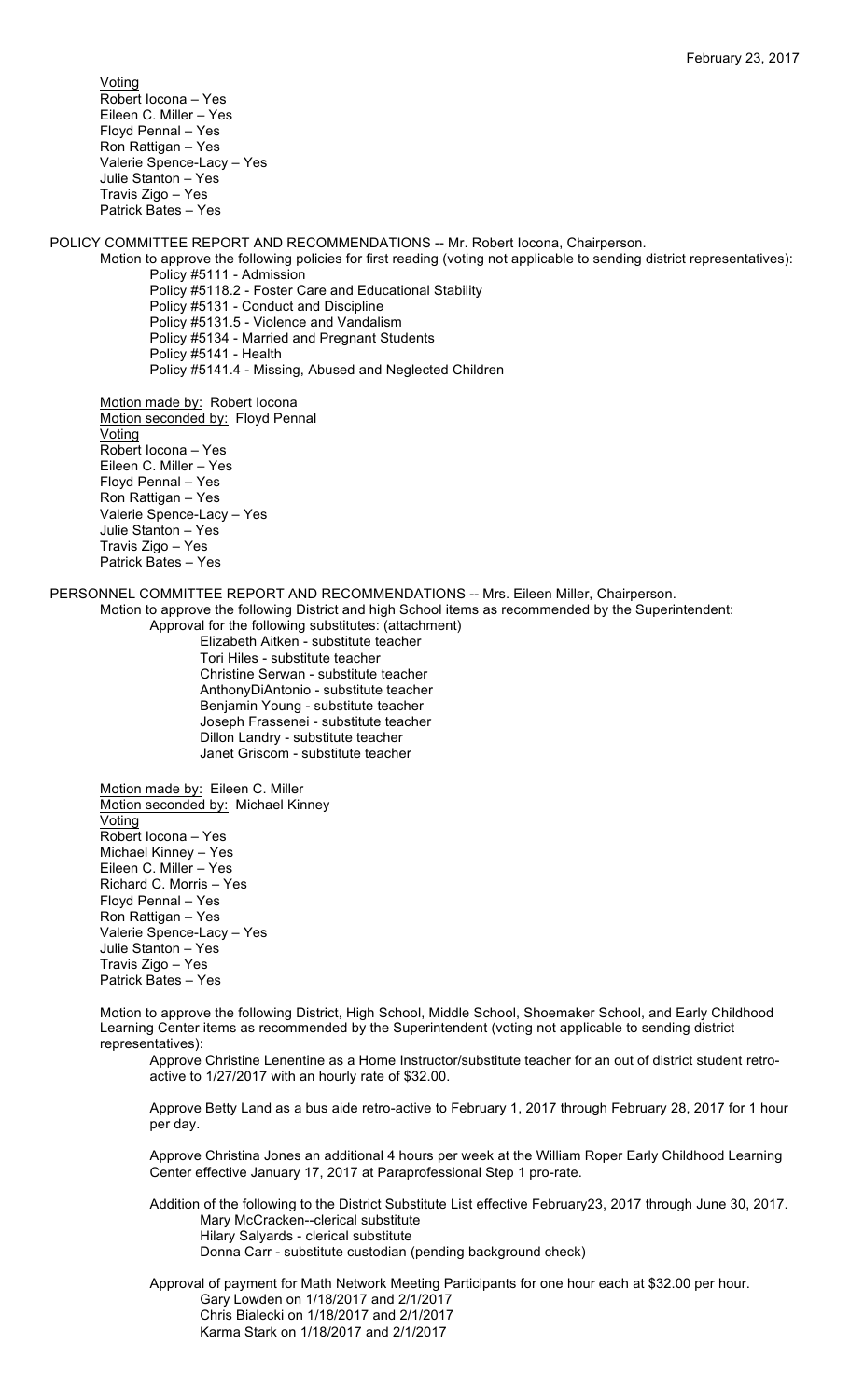Voting Robert Iocona – Yes Eileen C. Miller – Yes Floyd Pennal – Yes Ron Rattigan – Yes Valerie Spence-Lacy – Yes Julie Stanton – Yes Travis Zigo – Yes Patrick Bates – Yes

POLICY COMMITTEE REPORT AND RECOMMENDATIONS -- Mr. Robert Iocona, Chairperson.

Motion to approve the following policies for first reading (voting not applicable to sending district representatives): Policy #5111 - Admission Policy #5118.2 - Foster Care and Educational Stability Policy #5131 - Conduct and Discipline Policy #5131.5 - Violence and Vandalism Policy #5134 - Married and Pregnant Students Policy #5141 - Health Policy #5141.4 - Missing, Abused and Neglected Children

Motion made by: Robert locona Motion seconded by: Floyd Pennal Voting Robert Iocona – Yes Eileen C. Miller – Yes Floyd Pennal – Yes Ron Rattigan – Yes Valerie Spence-Lacy – Yes Julie Stanton – Yes Travis Zigo – Yes Patrick Bates – Yes

PERSONNEL COMMITTEE REPORT AND RECOMMENDATIONS -- Mrs. Eileen Miller, Chairperson. Motion to approve the following District and high School items as recommended by the Superintendent:

Approval for the following substitutes: (attachment) Elizabeth Aitken - substitute teacher

Tori Hiles - substitute teacher Christine Serwan - substitute teacher AnthonyDiAntonio - substitute teacher Benjamin Young - substitute teacher Joseph Frassenei - substitute teacher Dillon Landry - substitute teacher Janet Griscom - substitute teacher

Motion made by: Eileen C. Miller Motion seconded by: Michael Kinney Voting Robert Iocona – Yes Michael Kinney – Yes Eileen C. Miller – Yes Richard C. Morris – Yes Floyd Pennal – Yes Ron Rattigan – Yes Valerie Spence-Lacy – Yes Julie Stanton – Yes Travis Zigo – Yes Patrick Bates – Yes

Motion to approve the following District, High School, Middle School, Shoemaker School, and Early Childhood Learning Center items as recommended by the Superintendent (voting not applicable to sending district representatives):

Approve Christine Lenentine as a Home Instructor/substitute teacher for an out of district student retroactive to 1/27/2017 with an hourly rate of \$32.00.

Approve Betty Land as a bus aide retro-active to February 1, 2017 through February 28, 2017 for 1 hour per day.

Approve Christina Jones an additional 4 hours per week at the William Roper Early Childhood Learning Center effective January 17, 2017 at Paraprofessional Step 1 pro-rate.

Addition of the following to the District Substitute List effective February23, 2017 through June 30, 2017. Mary McCracken--clerical substitute Hilary Salyards - clerical substitute Donna Carr - substitute custodian (pending background check)

Approval of payment for Math Network Meeting Participants for one hour each at \$32.00 per hour. Gary Lowden on 1/18/2017 and 2/1/2017 Chris Bialecki on 1/18/2017 and 2/1/2017 Karma Stark on 1/18/2017 and 2/1/2017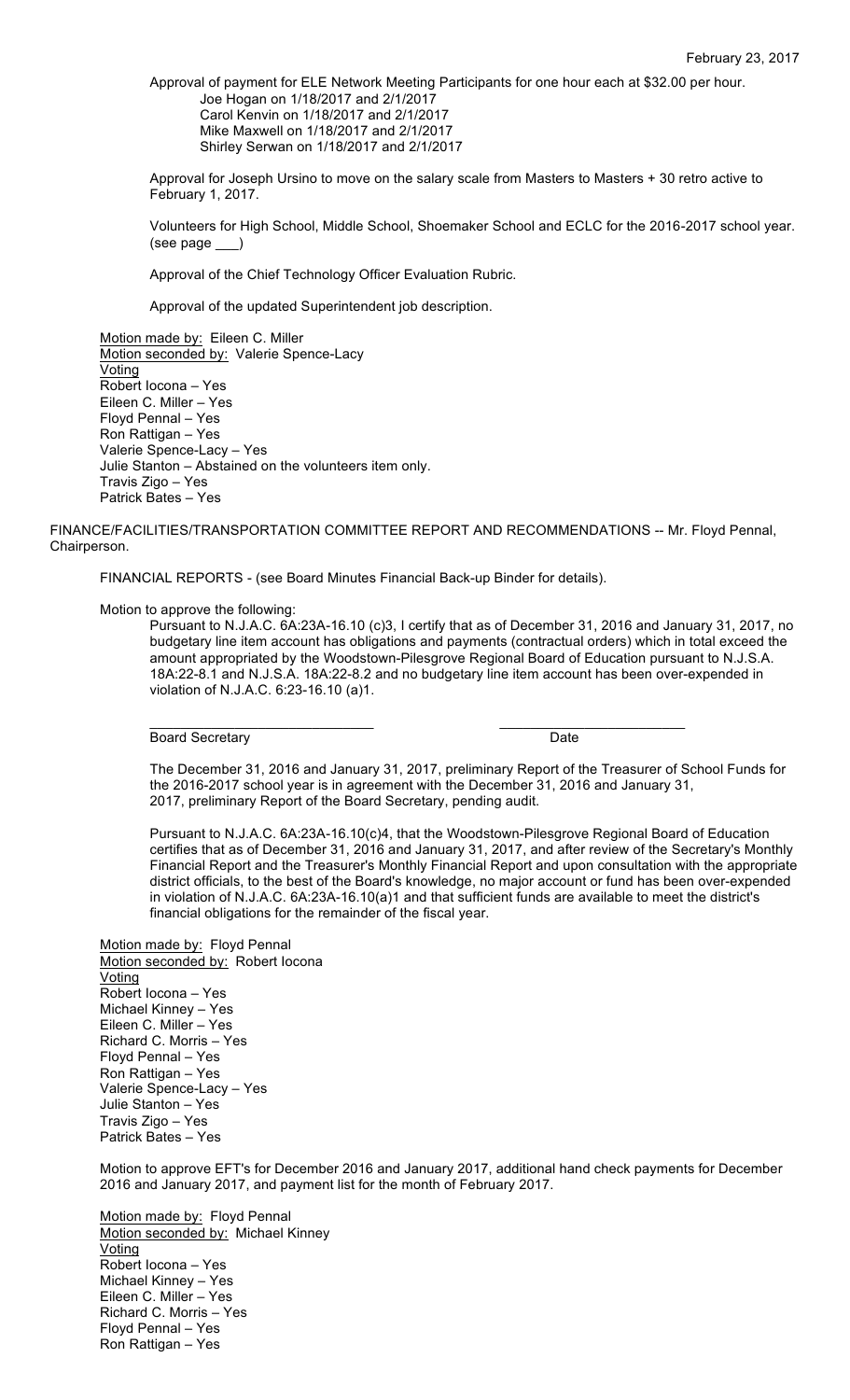Approval of payment for ELE Network Meeting Participants for one hour each at \$32.00 per hour. Joe Hogan on 1/18/2017 and 2/1/2017 Carol Kenvin on 1/18/2017 and 2/1/2017 Mike Maxwell on 1/18/2017 and 2/1/2017 Shirley Serwan on 1/18/2017 and 2/1/2017

Approval for Joseph Ursino to move on the salary scale from Masters to Masters + 30 retro active to February 1, 2017.

Volunteers for High School, Middle School, Shoemaker School and ECLC for the 2016-2017 school year. (see page

Approval of the Chief Technology Officer Evaluation Rubric.

Approval of the updated Superintendent job description.

Motion made by: Eileen C. Miller Motion seconded by: Valerie Spence-Lacy **Voting** Robert Iocona – Yes Eileen C. Miller – Yes Floyd Pennal – Yes Ron Rattigan – Yes Valerie Spence-Lacy – Yes Julie Stanton – Abstained on the volunteers item only. Travis Zigo – Yes Patrick Bates – Yes

FINANCE/FACILITIES/TRANSPORTATION COMMITTEE REPORT AND RECOMMENDATIONS -- Mr. Floyd Pennal, Chairperson.

 $\frac{1}{2}$  ,  $\frac{1}{2}$  ,  $\frac{1}{2}$  ,  $\frac{1}{2}$  ,  $\frac{1}{2}$  ,  $\frac{1}{2}$  ,  $\frac{1}{2}$  ,  $\frac{1}{2}$  ,  $\frac{1}{2}$  ,  $\frac{1}{2}$  ,  $\frac{1}{2}$  ,  $\frac{1}{2}$  ,  $\frac{1}{2}$  ,  $\frac{1}{2}$  ,  $\frac{1}{2}$  ,  $\frac{1}{2}$  ,  $\frac{1}{2}$  ,  $\frac{1}{2}$  ,  $\frac{1$ 

FINANCIAL REPORTS - (see Board Minutes Financial Back-up Binder for details).

Motion to approve the following:

Pursuant to N.J.A.C. 6A:23A-16.10 (c)3, I certify that as of December 31, 2016 and January 31, 2017, no budgetary line item account has obligations and payments (contractual orders) which in total exceed the amount appropriated by the Woodstown-Pilesgrove Regional Board of Education pursuant to N.J.S.A. 18A:22-8.1 and N.J.S.A. 18A:22-8.2 and no budgetary line item account has been over-expended in violation of N.J.A.C. 6:23-16.10 (a)1.

Board Secretary Date

The December 31, 2016 and January 31, 2017, preliminary Report of the Treasurer of School Funds for the 2016-2017 school year is in agreement with the December 31, 2016 and January 31, 2017, preliminary Report of the Board Secretary, pending audit.

Pursuant to N.J.A.C. 6A:23A-16.10(c)4, that the Woodstown-Pilesgrove Regional Board of Education certifies that as of December 31, 2016 and January 31, 2017, and after review of the Secretary's Monthly Financial Report and the Treasurer's Monthly Financial Report and upon consultation with the appropriate district officials, to the best of the Board's knowledge, no major account or fund has been over-expended in violation of N.J.A.C. 6A:23A-16.10(a)1 and that sufficient funds are available to meet the district's financial obligations for the remainder of the fiscal year.

Motion made by: Floyd Pennal Motion seconded by: Robert Iocona Voting Robert Iocona – Yes Michael Kinney – Yes Eileen C. Miller – Yes Richard C. Morris – Yes Floyd Pennal – Yes Ron Rattigan – Yes Valerie Spence-Lacy – Yes Julie Stanton – Yes Travis Zigo – Yes Patrick Bates – Yes

Motion to approve EFT's for December 2016 and January 2017, additional hand check payments for December 2016 and January 2017, and payment list for the month of February 2017.

Motion made by: Floyd Pennal Motion seconded by: Michael Kinney Voting Robert Iocona – Yes Michael Kinney – Yes Eileen C. Miller – Yes Richard C. Morris – Yes Floyd Pennal – Yes Ron Rattigan – Yes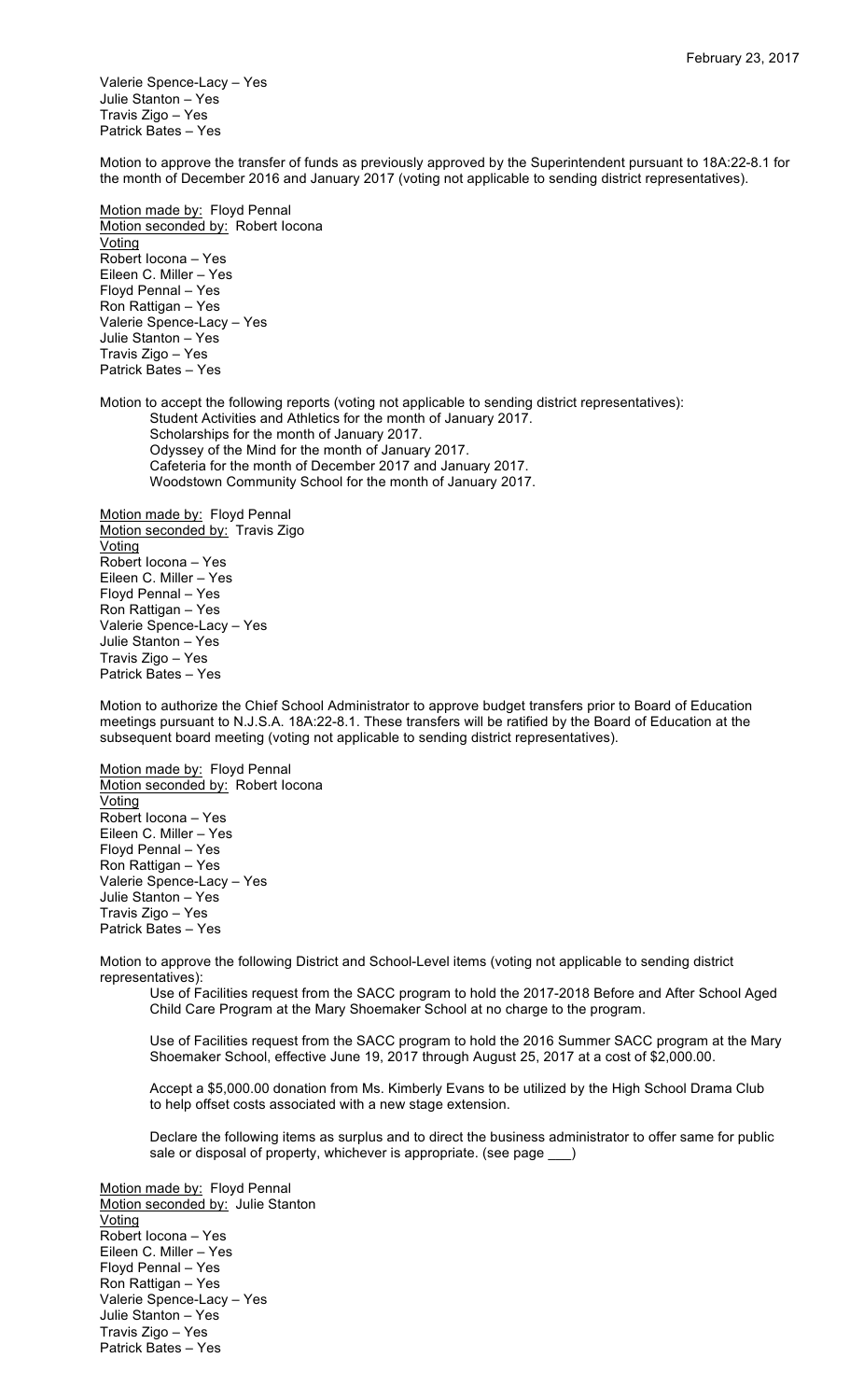Valerie Spence-Lacy – Yes Julie Stanton – Yes Travis Zigo – Yes Patrick Bates – Yes

Motion to approve the transfer of funds as previously approved by the Superintendent pursuant to 18A:22-8.1 for the month of December 2016 and January 2017 (voting not applicable to sending district representatives).

Motion made by: Floyd Pennal Motion seconded by: Robert locona Voting Robert Iocona – Yes Eileen C. Miller – Yes Floyd Pennal – Yes Ron Rattigan – Yes Valerie Spence-Lacy – Yes Julie Stanton – Yes Travis Zigo – Yes Patrick Bates – Yes

Motion to accept the following reports (voting not applicable to sending district representatives): Student Activities and Athletics for the month of January 2017. Scholarships for the month of January 2017. Odyssey of the Mind for the month of January 2017. Cafeteria for the month of December 2017 and January 2017. Woodstown Community School for the month of January 2017.

Motion made by: Floyd Pennal Motion seconded by: Travis Zigo **Voting** Robert Iocona – Yes Eileen C. Miller – Yes Floyd Pennal – Yes Ron Rattigan – Yes Valerie Spence-Lacy – Yes Julie Stanton – Yes Travis Zigo – Yes Patrick Bates – Yes

Motion to authorize the Chief School Administrator to approve budget transfers prior to Board of Education meetings pursuant to N.J.S.A. 18A:22-8.1. These transfers will be ratified by the Board of Education at the subsequent board meeting (voting not applicable to sending district representatives).

Motion made by: Floyd Pennal Motion seconded by: Robert locona Voting Robert Iocona – Yes Eileen C. Miller – Yes Floyd Pennal – Yes Ron Rattigan – Yes Valerie Spence-Lacy – Yes Julie Stanton – Yes Travis Zigo – Yes Patrick Bates – Yes

Motion to approve the following District and School-Level items (voting not applicable to sending district representatives):

Use of Facilities request from the SACC program to hold the 2017-2018 Before and After School Aged Child Care Program at the Mary Shoemaker School at no charge to the program.

Use of Facilities request from the SACC program to hold the 2016 Summer SACC program at the Mary Shoemaker School, effective June 19, 2017 through August 25, 2017 at a cost of \$2,000.00.

Accept a \$5,000.00 donation from Ms. Kimberly Evans to be utilized by the High School Drama Club to help offset costs associated with a new stage extension.

Declare the following items as surplus and to direct the business administrator to offer same for public sale or disposal of property, whichever is appropriate. (see page  $\qquad$ )

Motion made by: Floyd Pennal Motion seconded by: Julie Stanton Voting Robert Iocona – Yes Eileen C. Miller – Yes Floyd Pennal – Yes Ron Rattigan – Yes Valerie Spence-Lacy – Yes Julie Stanton – Yes Travis Zigo – Yes Patrick Bates – Yes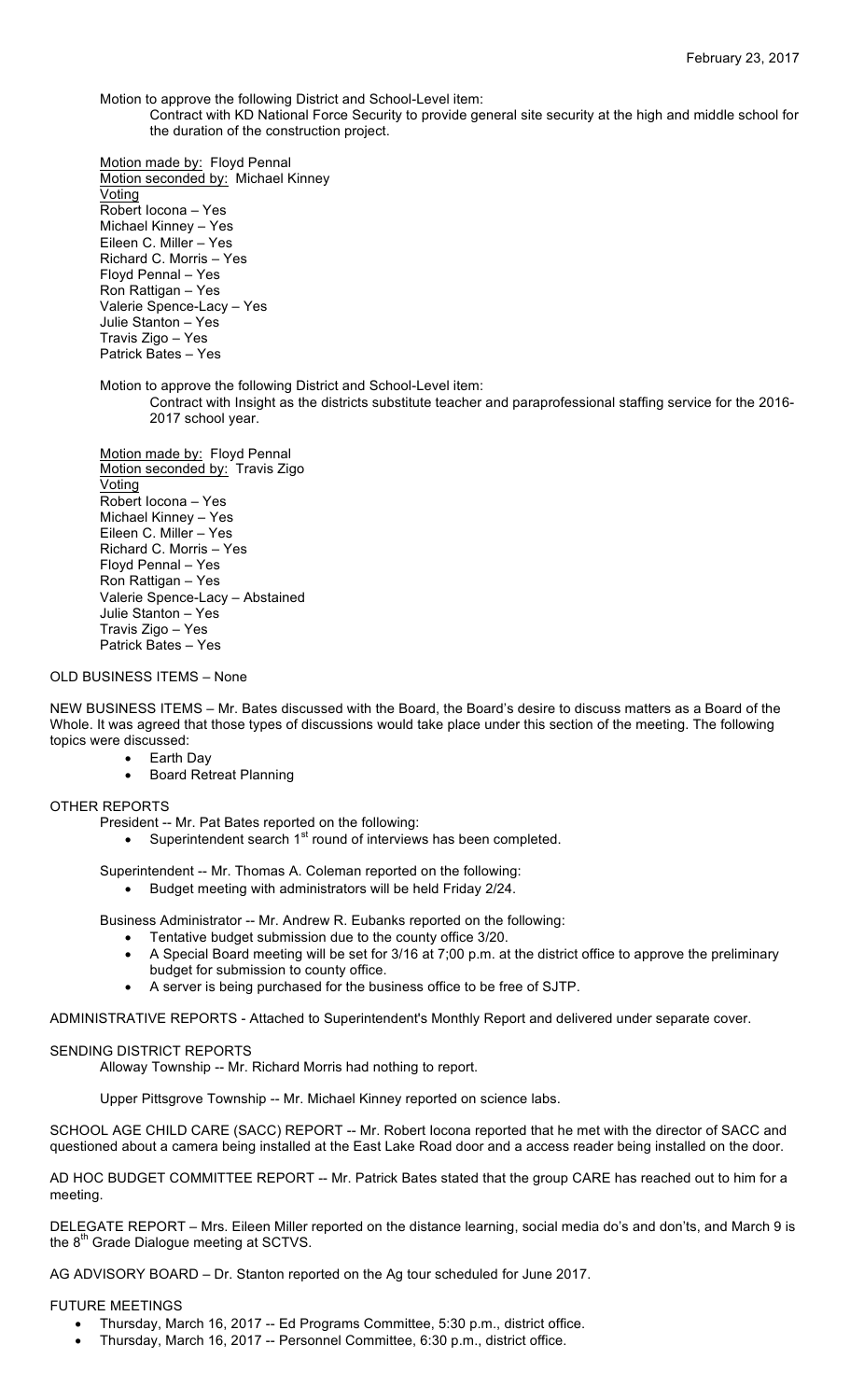Motion to approve the following District and School-Level item:

Contract with KD National Force Security to provide general site security at the high and middle school for the duration of the construction project.

Motion made by: Floyd Pennal Motion seconded by: Michael Kinney Voting Robert Iocona – Yes Michael Kinney – Yes Eileen C. Miller – Yes Richard C. Morris – Yes Floyd Pennal – Yes Ron Rattigan – Yes Valerie Spence-Lacy – Yes Julie Stanton – Yes Travis Zigo – Yes Patrick Bates – Yes

Motion to approve the following District and School-Level item:

Contract with Insight as the districts substitute teacher and paraprofessional staffing service for the 2016- 2017 school year.

Motion made by: Floyd Pennal Motion seconded by: Travis Zigo Voting Robert Iocona – Yes Michael Kinney – Yes Eileen C. Miller – Yes Richard C. Morris – Yes Floyd Pennal – Yes Ron Rattigan – Yes Valerie Spence-Lacy – Abstained Julie Stanton – Yes Travis Zigo – Yes Patrick Bates – Yes

### OLD BUSINESS ITEMS – None

NEW BUSINESS ITEMS – Mr. Bates discussed with the Board, the Board's desire to discuss matters as a Board of the Whole. It was agreed that those types of discussions would take place under this section of the meeting. The following topics were discussed:

- Earth Day
	- Board Retreat Planning

#### OTHER REPORTS

- President -- Mr. Pat Bates reported on the following:
	- Superintendent search 1<sup>st</sup> round of interviews has been completed.

Superintendent -- Mr. Thomas A. Coleman reported on the following:

• Budget meeting with administrators will be held Friday 2/24.

Business Administrator -- Mr. Andrew R. Eubanks reported on the following:

- Tentative budget submission due to the county office 3/20.
- A Special Board meeting will be set for 3/16 at 7;00 p.m. at the district office to approve the preliminary budget for submission to county office.
- A server is being purchased for the business office to be free of SJTP.

ADMINISTRATIVE REPORTS - Attached to Superintendent's Monthly Report and delivered under separate cover.

#### SENDING DISTRICT REPORTS

Alloway Township -- Mr. Richard Morris had nothing to report.

Upper Pittsgrove Township -- Mr. Michael Kinney reported on science labs.

SCHOOL AGE CHILD CARE (SACC) REPORT -- Mr. Robert locona reported that he met with the director of SACC and questioned about a camera being installed at the East Lake Road door and a access reader being installed on the door.

AD HOC BUDGET COMMITTEE REPORT -- Mr. Patrick Bates stated that the group CARE has reached out to him for a meeting.

DELEGATE REPORT – Mrs. Eileen Miller reported on the distance learning, social media do's and don'ts, and March 9 is the  $8<sup>th</sup>$  Grade Dialogue meeting at SCTVS.

AG ADVISORY BOARD – Dr. Stanton reported on the Ag tour scheduled for June 2017.

#### FUTURE MEETINGS

- Thursday, March 16, 2017 -- Ed Programs Committee, 5:30 p.m., district office.
- Thursday, March 16, 2017 -- Personnel Committee, 6:30 p.m., district office.